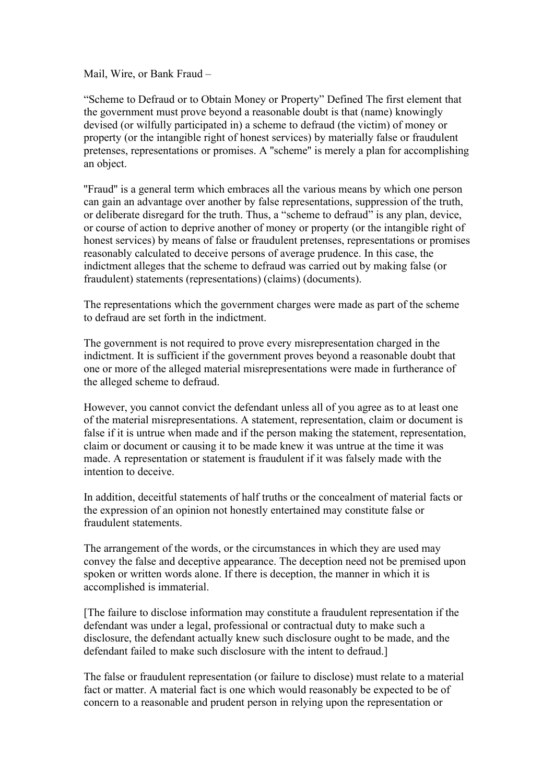Mail, Wire, or Bank Fraud –

"Scheme to Defraud or to Obtain Money or Property" Defined The first element that the government must prove beyond a reasonable doubt is that (name) knowingly devised (or wilfully participated in) a scheme to defraud (the victim) of money or property (or the intangible right of honest services) by materially false or fraudulent pretenses, representations or promises. A "scheme" is merely a plan for accomplishing an object.

"Fraud" is a general term which embraces all the various means by which one person can gain an advantage over another by false representations, suppression of the truth, or deliberate disregard for the truth. Thus, a "scheme to defraud" is any plan, device, or course of action to deprive another of money or property (or the intangible right of honest services) by means of false or fraudulent pretenses, representations or promises reasonably calculated to deceive persons of average prudence. In this case, the indictment alleges that the scheme to defraud was carried out by making false (or fraudulent) statements (representations) (claims) (documents).

The representations which the government charges were made as part of the scheme to defraud are set forth in the indictment.

The government is not required to prove every misrepresentation charged in the indictment. It is sufficient if the government proves beyond a reasonable doubt that one or more of the alleged material misrepresentations were made in furtherance of the alleged scheme to defraud.

However, you cannot convict the defendant unless all of you agree as to at least one of the material misrepresentations. A statement, representation, claim or document is false if it is untrue when made and if the person making the statement, representation, claim or document or causing it to be made knew it was untrue at the time it was made. A representation or statement is fraudulent if it was falsely made with the intention to deceive.

In addition, deceitful statements of half truths or the concealment of material facts or the expression of an opinion not honestly entertained may constitute false or fraudulent statements.

The arrangement of the words, or the circumstances in which they are used may convey the false and deceptive appearance. The deception need not be premised upon spoken or written words alone. If there is deception, the manner in which it is accomplished is immaterial.

[The failure to disclose information may constitute a fraudulent representation if the defendant was under a legal, professional or contractual duty to make such a disclosure, the defendant actually knew such disclosure ought to be made, and the defendant failed to make such disclosure with the intent to defraud.]

The false or fraudulent representation (or failure to disclose) must relate to a material fact or matter. A material fact is one which would reasonably be expected to be of concern to a reasonable and prudent person in relying upon the representation or